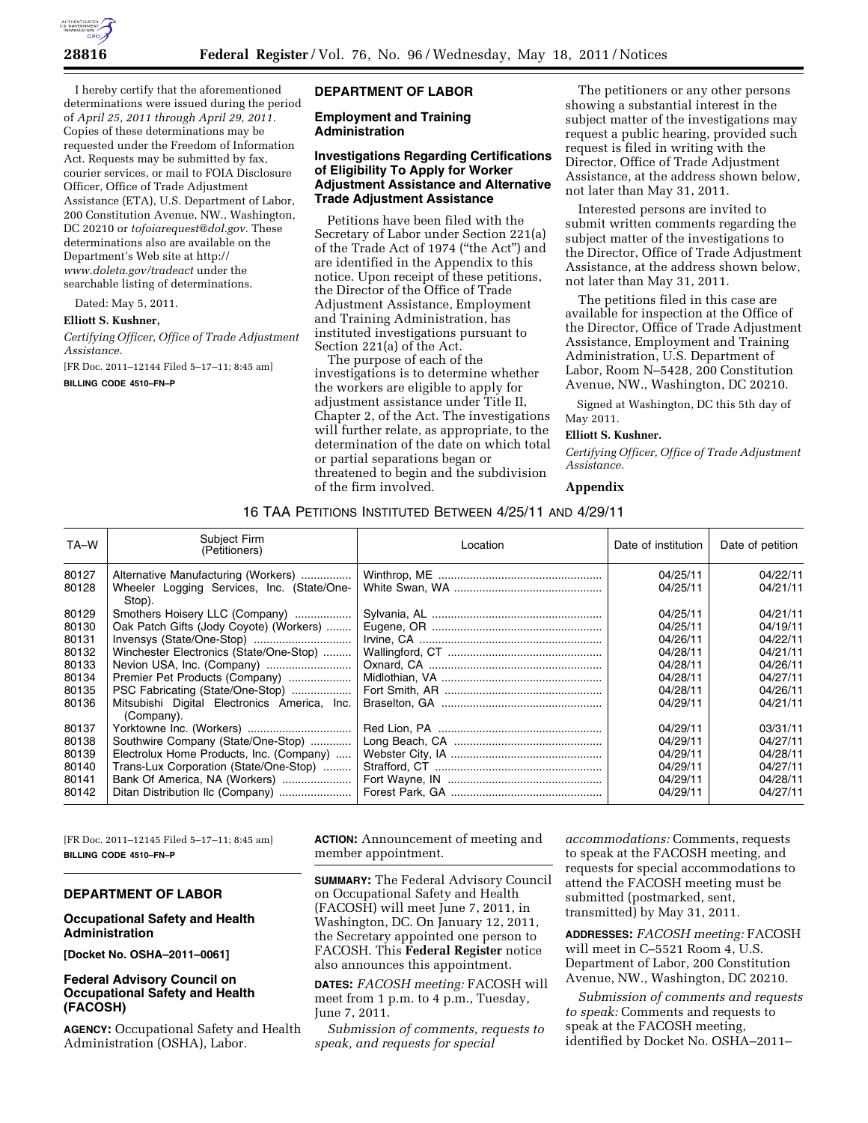

I hereby certify that the aforementioned determinations were issued during the period of *April 25, 2011 through April 29, 2011.*  Copies of these determinations may be requested under the Freedom of Information Act. Requests may be submitted by fax, courier services, or mail to FOIA Disclosure Officer, Office of Trade Adjustment Assistance (ETA), U.S. Department of Labor, 200 Constitution Avenue, NW., Washington, DC 20210 or *[tofoiarequest@dol.gov.](mailto:tofoiarequest@dol.gov)* These determinations also are available on the Department's Web site at http:// *[www.doleta.gov/tradeact](http://www.doleta.gov/tradeact)* under the searchable listing of determinations.

Dated: May 5, 2011.

#### **Elliott S. Kushner,**

*Certifying Officer, Office of Trade Adjustment Assistance.* 

[FR Doc. 2011–12144 Filed 5–17–11; 8:45 am]

**BILLING CODE 4510–FN–P** 

## **DEPARTMENT OF LABOR**

# **Employment and Training Administration**

# **Investigations Regarding Certifications of Eligibility To Apply for Worker Adjustment Assistance and Alternative Trade Adjustment Assistance**

Petitions have been filed with the Secretary of Labor under Section 221(a) of the Trade Act of 1974 (''the Act'') and are identified in the Appendix to this notice. Upon receipt of these petitions, the Director of the Office of Trade Adjustment Assistance, Employment and Training Administration, has instituted investigations pursuant to Section 221(a) of the Act.

The purpose of each of the investigations is to determine whether the workers are eligible to apply for adjustment assistance under Title II, Chapter 2, of the Act. The investigations will further relate, as appropriate, to the determination of the date on which total or partial separations began or threatened to begin and the subdivision of the firm involved.

The petitioners or any other persons showing a substantial interest in the subject matter of the investigations may request a public hearing, provided such request is filed in writing with the Director, Office of Trade Adjustment Assistance, at the address shown below, not later than May 31, 2011.

Interested persons are invited to submit written comments regarding the subject matter of the investigations to the Director, Office of Trade Adjustment Assistance, at the address shown below, not later than May 31, 2011.

The petitions filed in this case are available for inspection at the Office of the Director, Office of Trade Adjustment Assistance, Employment and Training Administration, U.S. Department of Labor, Room N–5428, 200 Constitution Avenue, NW., Washington, DC 20210.

Signed at Washington, DC this 5th day of May 2011.

# **Elliott S. Kushner.**

*Certifying Officer, Office of Trade Adjustment Assistance.* 

#### **Appendix**

# 16 TAA PETITIONS INSTITUTED BETWEEN 4/25/11 AND 4/29/11

| TA-W                                                                 | Subject Firm<br>(Petitioners)                                                                                                                                                                                                                                                                                       | Location | Date of institution                                                                          | Date of petition                                                                             |
|----------------------------------------------------------------------|---------------------------------------------------------------------------------------------------------------------------------------------------------------------------------------------------------------------------------------------------------------------------------------------------------------------|----------|----------------------------------------------------------------------------------------------|----------------------------------------------------------------------------------------------|
| 80127<br>80128                                                       | Alternative Manufacturing (Workers)<br>Wheeler Logging Services, Inc. (State/One-<br>Stop).                                                                                                                                                                                                                         |          | 04/25/11<br>04/25/11                                                                         | 04/22/11<br>04/21/11                                                                         |
| 80129<br>80130<br>80131<br>80132<br>80133<br>80134<br>80135<br>80136 | Smothers Hoisery LLC (Company)<br>Oak Patch Gifts (Jody Coyote) (Workers)<br>Invensys (State/One-Stop)<br>Winchester Electronics (State/One-Stop)<br>Nevion USA, Inc. (Company)<br>Premier Pet Products (Company)<br>PSC Fabricating (State/One-Stop)<br>Mitsubishi Digital Electronics America, Inc.<br>(Company). |          | 04/25/11<br>04/25/11<br>04/26/11<br>04/28/11<br>04/28/11<br>04/28/11<br>04/28/11<br>04/29/11 | 04/21/11<br>04/19/11<br>04/22/11<br>04/21/11<br>04/26/11<br>04/27/11<br>04/26/11<br>04/21/11 |
| 80137<br>80138<br>80139<br>80140<br>80141<br>80142                   | Southwire Company (State/One-Stop)<br>Electrolux Home Products, Inc. (Company)<br>Trans-Lux Corporation (State/One-Stop)<br>Bank Of America, NA (Workers)<br>Ditan Distribution Ilc (Company)                                                                                                                       |          | 04/29/11<br>04/29/11<br>04/29/11<br>04/29/11<br>04/29/11<br>04/29/11                         | 03/31/11<br>04/27/11<br>04/28/11<br>04/27/11<br>04/28/11<br>04/27/11                         |

[FR Doc. 2011–12145 Filed 5–17–11; 8:45 am] **BILLING CODE 4510–FN–P** 

# **DEPARTMENT OF LABOR**

## **Occupational Safety and Health Administration**

**[Docket No. OSHA–2011–0061]** 

# **Federal Advisory Council on Occupational Safety and Health (FACOSH)**

**AGENCY:** Occupational Safety and Health Administration (OSHA), Labor.

**ACTION:** Announcement of meeting and member appointment.

**SUMMARY:** The Federal Advisory Council on Occupational Safety and Health (FACOSH) will meet June 7, 2011, in Washington, DC. On January 12, 2011, the Secretary appointed one person to FACOSH. This **Federal Register** notice also announces this appointment.

**DATES:** *FACOSH meeting:* FACOSH will meet from 1 p.m. to 4 p.m., Tuesday, June 7, 2011.

*Submission of comments, requests to speak, and requests for special* 

*accommodations:* Comments, requests to speak at the FACOSH meeting, and requests for special accommodations to attend the FACOSH meeting must be submitted (postmarked, sent, transmitted) by May 31, 2011.

**ADDRESSES:** *FACOSH meeting:* FACOSH will meet in C–5521 Room 4, U.S. Department of Labor, 200 Constitution Avenue, NW., Washington, DC 20210.

*Submission of comments and requests to speak:* Comments and requests to speak at the FACOSH meeting, identified by Docket No. OSHA–2011–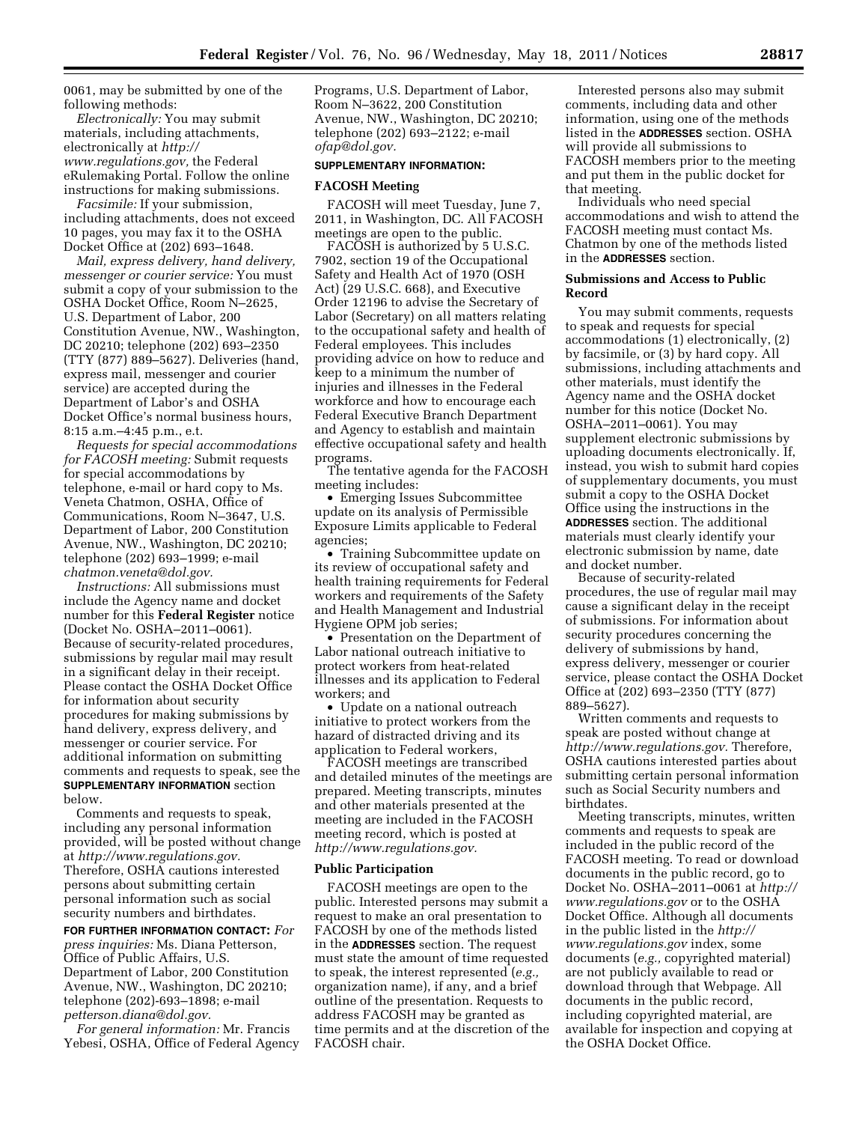0061, may be submitted by one of the following methods:

*Electronically:* You may submit materials, including attachments, electronically at *[http://](http://www.regulations.gov) [www.regulations.gov,](http://www.regulations.gov)* the Federal eRulemaking Portal. Follow the online instructions for making submissions.

*Facsimile:* If your submission, including attachments, does not exceed 10 pages, you may fax it to the OSHA Docket Office at (202) 693–1648.

*Mail, express delivery, hand delivery, messenger or courier service:* You must submit a copy of your submission to the OSHA Docket Office, Room N–2625, U.S. Department of Labor, 200 Constitution Avenue, NW., Washington, DC 20210; telephone (202) 693–2350 (TTY (877) 889–5627). Deliveries (hand, express mail, messenger and courier service) are accepted during the Department of Labor's and OSHA Docket Office's normal business hours, 8:15 a.m.–4:45 p.m., e.t.

*Requests for special accommodations for FACOSH meeting:* Submit requests for special accommodations by telephone, e-mail or hard copy to Ms. Veneta Chatmon, OSHA, Office of Communications, Room N–3647, U.S. Department of Labor, 200 Constitution Avenue, NW., Washington, DC 20210; telephone (202) 693–1999; e-mail *[chatmon.veneta@dol.gov.](mailto:chatmon.veneta@dol.gov)* 

*Instructions:* All submissions must include the Agency name and docket number for this **Federal Register** notice (Docket No. OSHA–2011–0061). Because of security-related procedures, submissions by regular mail may result in a significant delay in their receipt. Please contact the OSHA Docket Office for information about security procedures for making submissions by hand delivery, express delivery, and messenger or courier service. For additional information on submitting comments and requests to speak, see the **SUPPLEMENTARY INFORMATION** section below.

Comments and requests to speak, including any personal information provided, will be posted without change at *[http://www.regulations.gov.](http://www.regulations.gov)*  Therefore, OSHA cautions interested persons about submitting certain personal information such as social security numbers and birthdates.

**FOR FURTHER INFORMATION CONTACT:** *For press inquiries:* Ms. Diana Petterson, Office of Public Affairs, U.S. Department of Labor, 200 Constitution Avenue, NW., Washington, DC 20210; telephone (202)-693–1898; e-mail *[petterson.diana@dol.gov.](mailto:petterson.diana@dol.gov)* 

*For general information:* Mr. Francis Yebesi, OSHA, Office of Federal Agency Programs, U.S. Department of Labor, Room N–3622, 200 Constitution Avenue, NW., Washington, DC 20210; telephone (202) 693–2122; e-mail *[ofap@dol.gov.](mailto:ofap@dol.gov)* 

## **SUPPLEMENTARY INFORMATION:**

## **FACOSH Meeting**

FACOSH will meet Tuesday, June 7, 2011, in Washington, DC. All FACOSH meetings are open to the public.

FACOSH is authorized by 5 U.S.C. 7902, section 19 of the Occupational Safety and Health Act of 1970 (OSH Act) (29 U.S.C. 668), and Executive Order 12196 to advise the Secretary of Labor (Secretary) on all matters relating to the occupational safety and health of Federal employees. This includes providing advice on how to reduce and keep to a minimum the number of injuries and illnesses in the Federal workforce and how to encourage each Federal Executive Branch Department and Agency to establish and maintain effective occupational safety and health programs.

The tentative agenda for the FACOSH meeting includes:

• Emerging Issues Subcommittee update on its analysis of Permissible Exposure Limits applicable to Federal agencies;

• Training Subcommittee update on its review of occupational safety and health training requirements for Federal workers and requirements of the Safety and Health Management and Industrial Hygiene OPM job series;

• Presentation on the Department of Labor national outreach initiative to protect workers from heat-related illnesses and its application to Federal workers; and

• Update on a national outreach initiative to protect workers from the hazard of distracted driving and its application to Federal workers,

FACOSH meetings are transcribed and detailed minutes of the meetings are prepared. Meeting transcripts, minutes and other materials presented at the meeting are included in the FACOSH meeting record, which is posted at *[http://www.regulations.gov.](http://www.regulations.gov)* 

#### **Public Participation**

FACOSH meetings are open to the public. Interested persons may submit a request to make an oral presentation to FACOSH by one of the methods listed in the **ADDRESSES** section. The request must state the amount of time requested to speak, the interest represented (*e.g.,*  organization name), if any, and a brief outline of the presentation. Requests to address FACOSH may be granted as time permits and at the discretion of the FACOSH chair.

Interested persons also may submit comments, including data and other information, using one of the methods listed in the **ADDRESSES** section. OSHA will provide all submissions to FACOSH members prior to the meeting and put them in the public docket for that meeting.

Individuals who need special accommodations and wish to attend the FACOSH meeting must contact Ms. Chatmon by one of the methods listed in the **ADDRESSES** section.

## **Submissions and Access to Public Record**

You may submit comments, requests to speak and requests for special accommodations (1) electronically, (2) by facsimile, or (3) by hard copy. All submissions, including attachments and other materials, must identify the Agency name and the OSHA docket number for this notice (Docket No. OSHA–2011–0061). You may supplement electronic submissions by uploading documents electronically. If, instead, you wish to submit hard copies of supplementary documents, you must submit a copy to the OSHA Docket Office using the instructions in the **ADDRESSES** section. The additional materials must clearly identify your electronic submission by name, date and docket number.

Because of security-related procedures, the use of regular mail may cause a significant delay in the receipt of submissions. For information about security procedures concerning the delivery of submissions by hand, express delivery, messenger or courier service, please contact the OSHA Docket Office at (202) 693–2350 (TTY (877) 889–5627).

Written comments and requests to speak are posted without change at *[http://www.regulations.gov.](http://www.regulations.gov)* Therefore, OSHA cautions interested parties about submitting certain personal information such as Social Security numbers and birthdates.

Meeting transcripts, minutes, written comments and requests to speak are included in the public record of the FACOSH meeting. To read or download documents in the public record, go to Docket No. OSHA–2011–0061 at *[http://](http://www.regulations.gov) [www.regulations.gov](http://www.regulations.gov)* or to the OSHA Docket Office. Although all documents in the public listed in the *[http://](http://www.regulations.gov)  [www.regulations.gov](http://www.regulations.gov)* index, some documents (*e.g.,* copyrighted material) are not publicly available to read or download through that Webpage. All documents in the public record, including copyrighted material, are available for inspection and copying at the OSHA Docket Office.